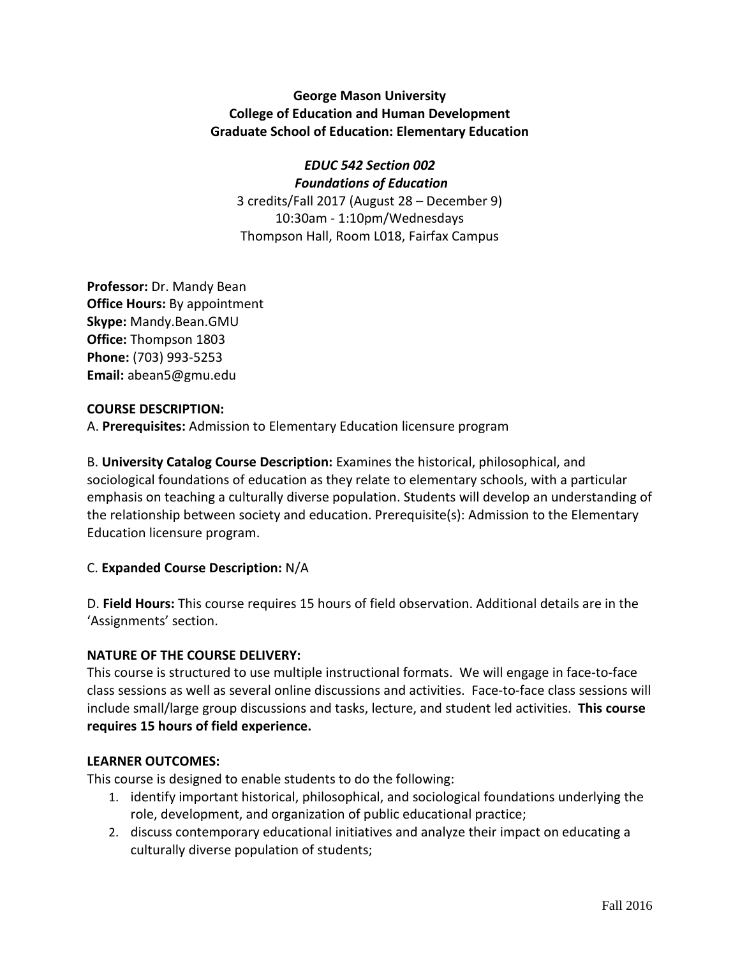# **George Mason University College of Education and Human Development Graduate School of Education: Elementary Education**

*EDUC 542 Section 002 Foundations of Education* 3 credits/Fall 2017 (August 28 – December 9) 10:30am - 1:10pm/Wednesdays Thompson Hall, Room L018, Fairfax Campus

**Professor:** Dr. Mandy Bean **Office Hours:** By appointment **Skype:** Mandy.Bean.GMU **Office:** Thompson 1803 **Phone:** (703) 993-5253 **Email:** abean5@gmu.edu

### **COURSE DESCRIPTION:**

A. **Prerequisites:** Admission to Elementary Education licensure program

B. **University Catalog Course Description:** Examines the historical, philosophical, and sociological foundations of education as they relate to elementary schools, with a particular emphasis on teaching a culturally diverse population. Students will develop an understanding of the relationship between society and education. Prerequisite(s): Admission to the Elementary Education licensure program.

# C. **Expanded Course Description:** N/A

D. **Field Hours:** This course requires 15 hours of field observation. Additional details are in the 'Assignments' section.

# **NATURE OF THE COURSE DELIVERY:**

This course is structured to use multiple instructional formats. We will engage in face-to-face class sessions as well as several online discussions and activities. Face-to-face class sessions will include small/large group discussions and tasks, lecture, and student led activities. **This course requires 15 hours of field experience.** 

### **LEARNER OUTCOMES:**

This course is designed to enable students to do the following:

- 1. identify important historical, philosophical, and sociological foundations underlying the role, development, and organization of public educational practice;
- 2. discuss contemporary educational initiatives and analyze their impact on educating a culturally diverse population of students;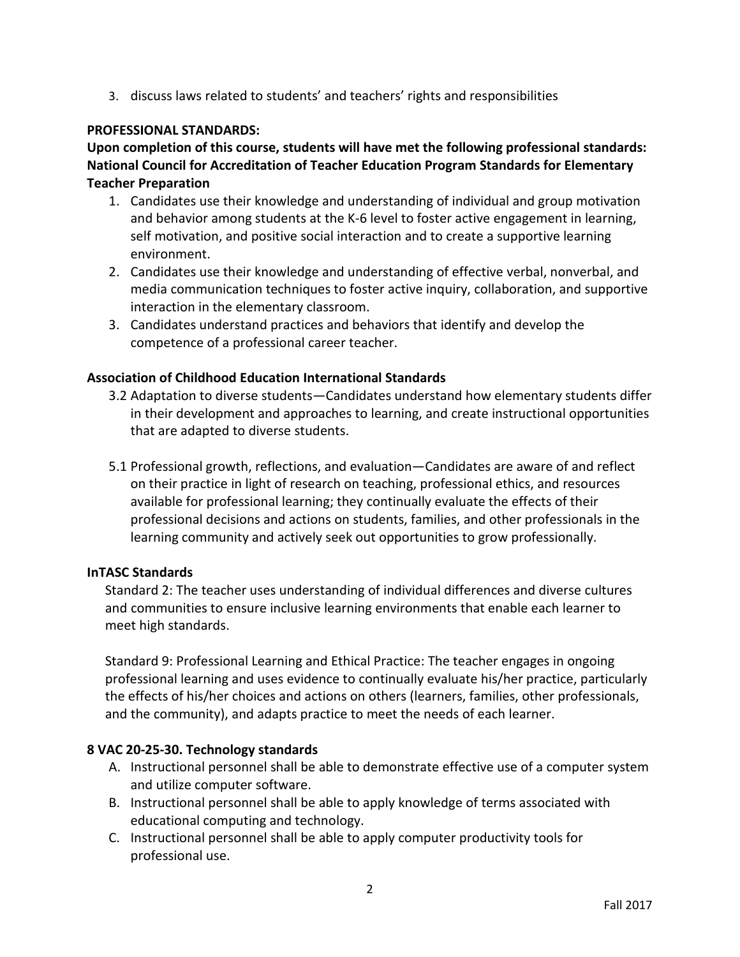3. discuss laws related to students' and teachers' rights and responsibilities

### **PROFESSIONAL STANDARDS:**

**Upon completion of this course, students will have met the following professional standards: National Council for Accreditation of Teacher Education Program Standards for Elementary Teacher Preparation** 

- 1. Candidates use their knowledge and understanding of individual and group motivation and behavior among students at the K-6 level to foster active engagement in learning, self motivation, and positive social interaction and to create a supportive learning environment.
- 2. Candidates use their knowledge and understanding of effective verbal, nonverbal, and media communication techniques to foster active inquiry, collaboration, and supportive interaction in the elementary classroom.
- 3. Candidates understand practices and behaviors that identify and develop the competence of a professional career teacher.

### **Association of Childhood Education International Standards**

- 3.2 Adaptation to diverse students—Candidates understand how elementary students differ in their development and approaches to learning, and create instructional opportunities that are adapted to diverse students.
- 5.1 Professional growth, reflections, and evaluation—Candidates are aware of and reflect on their practice in light of research on teaching, professional ethics, and resources available for professional learning; they continually evaluate the effects of their professional decisions and actions on students, families, and other professionals in the learning community and actively seek out opportunities to grow professionally.

### **InTASC Standards**

Standard 2: The teacher uses understanding of individual differences and diverse cultures and communities to ensure inclusive learning environments that enable each learner to meet high standards.

Standard 9: Professional Learning and Ethical Practice: The teacher engages in ongoing professional learning and uses evidence to continually evaluate his/her practice, particularly the effects of his/her choices and actions on others (learners, families, other professionals, and the community), and adapts practice to meet the needs of each learner.

### **8 VAC 20-25-30. Technology standards**

- A. Instructional personnel shall be able to demonstrate effective use of a computer system and utilize computer software.
- B. Instructional personnel shall be able to apply knowledge of terms associated with educational computing and technology.
- C. Instructional personnel shall be able to apply computer productivity tools for professional use.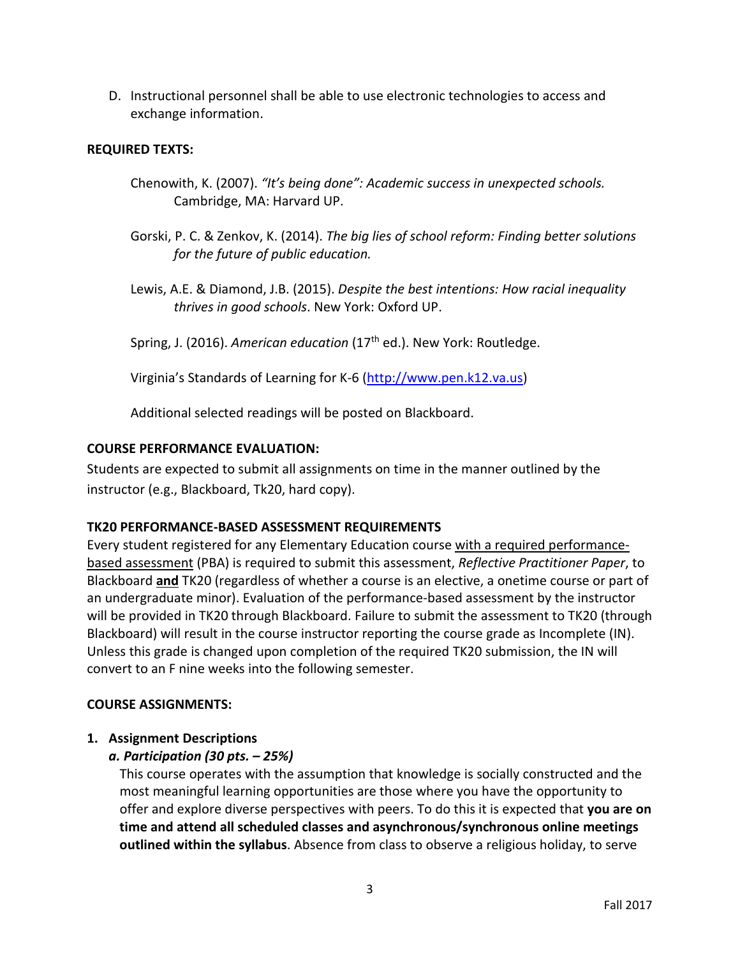D. Instructional personnel shall be able to use electronic technologies to access and exchange information.

### **REQUIRED TEXTS:**

- Chenowith, K. (2007). *"It's being done": Academic success in unexpected schools.*  Cambridge, MA: Harvard UP.
- Gorski, P. C. & Zenkov, K. (2014). *The big lies of school reform: Finding better solutions for the future of public education.*
- Lewis, A.E. & Diamond, J.B. (2015). *Despite the best intentions: How racial inequality thrives in good schools*. New York: Oxford UP.

Spring, J. (2016). *American education* (17<sup>th</sup> ed.). New York: Routledge.

Virginia's Standards of Learning for K-6 [\(http://www.pen.k12.va.us\)](http://www.pen.k12.va.us/)

Additional selected readings will be posted on Blackboard.

### **COURSE PERFORMANCE EVALUATION:**

Students are expected to submit all assignments on time in the manner outlined by the instructor (e.g., Blackboard, Tk20, hard copy).

### **TK20 PERFORMANCE-BASED ASSESSMENT REQUIREMENTS**

Every student registered for any Elementary Education course with a required performancebased assessment (PBA) is required to submit this assessment, *Reflective Practitioner Paper*, to Blackboard **and** TK20 (regardless of whether a course is an elective, a onetime course or part of an undergraduate minor). Evaluation of the performance-based assessment by the instructor will be provided in TK20 through Blackboard. Failure to submit the assessment to TK20 (through Blackboard) will result in the course instructor reporting the course grade as Incomplete (IN). Unless this grade is changed upon completion of the required TK20 submission, the IN will convert to an F nine weeks into the following semester.

### **COURSE ASSIGNMENTS:**

### **1. Assignment Descriptions**

# *a. Participation (30 pts. – 25%)*

This course operates with the assumption that knowledge is socially constructed and the most meaningful learning opportunities are those where you have the opportunity to offer and explore diverse perspectives with peers. To do this it is expected that **you are on time and attend all scheduled classes and asynchronous/synchronous online meetings outlined within the syllabus**. Absence from class to observe a religious holiday, to serve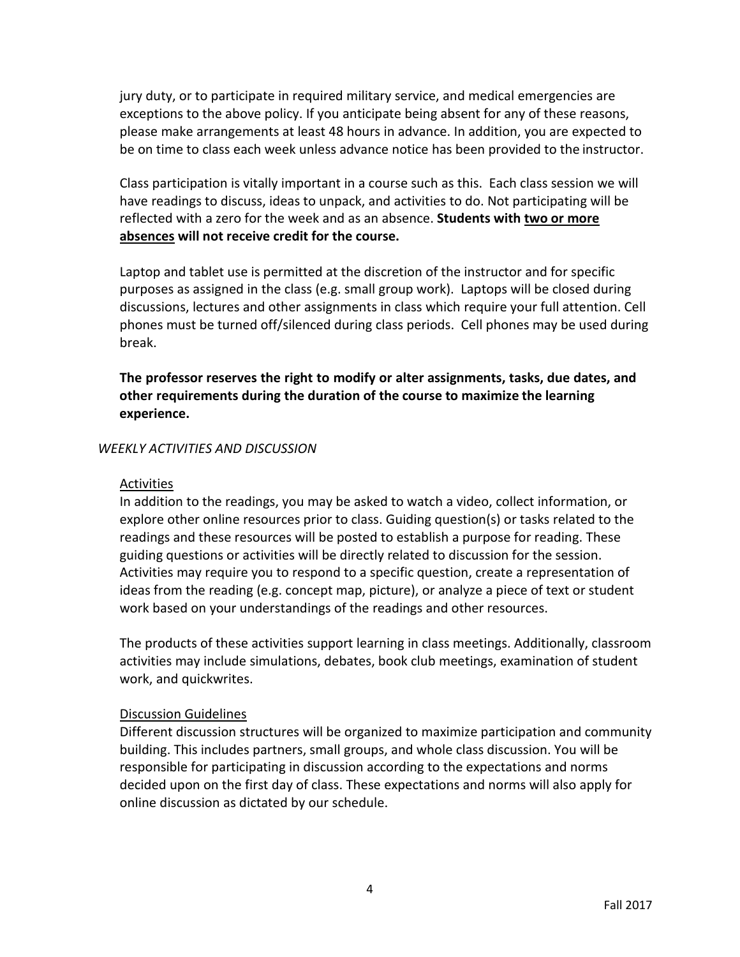jury duty, or to participate in required military service, and medical emergencies are exceptions to the above policy. If you anticipate being absent for any of these reasons, please make arrangements at least 48 hours in advance. In addition, you are expected to be on time to class each week unless advance notice has been provided to the instructor.

Class participation is vitally important in a course such as this. Each class session we will have readings to discuss, ideas to unpack, and activities to do. Not participating will be reflected with a zero for the week and as an absence. **Students with two or more absences will not receive credit for the course.** 

Laptop and tablet use is permitted at the discretion of the instructor and for specific purposes as assigned in the class (e.g. small group work). Laptops will be closed during discussions, lectures and other assignments in class which require your full attention. Cell phones must be turned off/silenced during class periods. Cell phones may be used during break.

**The professor reserves the right to modify or alter assignments, tasks, due dates, and other requirements during the duration of the course to maximize the learning experience.**

### *WEEKLY ACTIVITIES AND DISCUSSION*

### Activities

In addition to the readings, you may be asked to watch a video, collect information, or explore other online resources prior to class. Guiding question(s) or tasks related to the readings and these resources will be posted to establish a purpose for reading. These guiding questions or activities will be directly related to discussion for the session. Activities may require you to respond to a specific question, create a representation of ideas from the reading (e.g. concept map, picture), or analyze a piece of text or student work based on your understandings of the readings and other resources.

The products of these activities support learning in class meetings. Additionally, classroom activities may include simulations, debates, book club meetings, examination of student work, and quickwrites.

### Discussion Guidelines

Different discussion structures will be organized to maximize participation and community building. This includes partners, small groups, and whole class discussion. You will be responsible for participating in discussion according to the expectations and norms decided upon on the first day of class. These expectations and norms will also apply for online discussion as dictated by our schedule.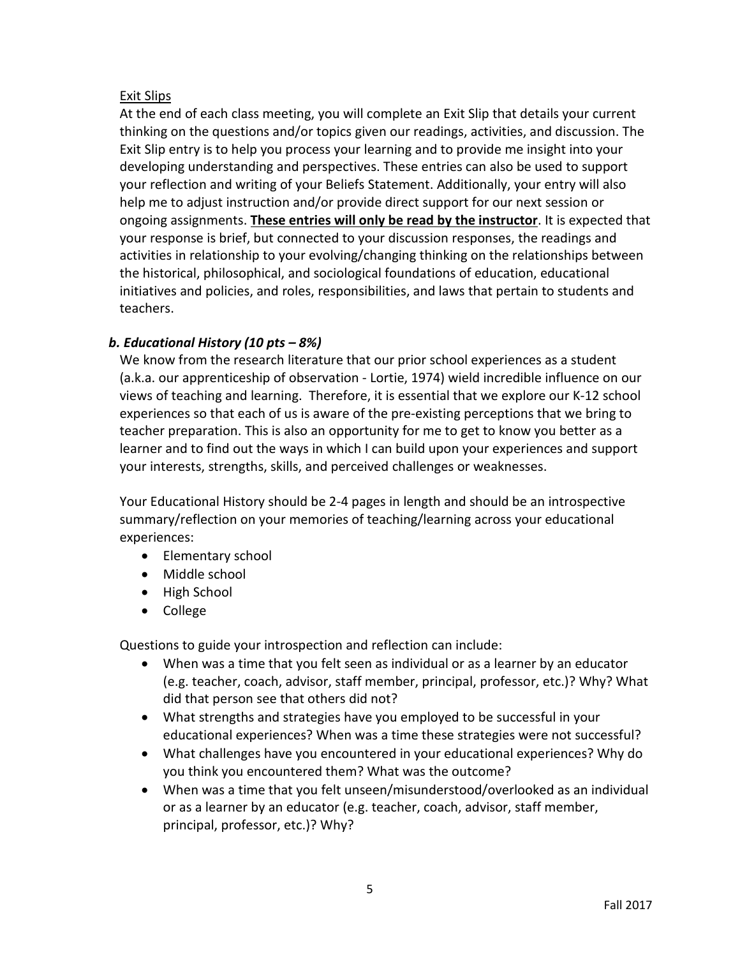# Exit Slips

At the end of each class meeting, you will complete an Exit Slip that details your current thinking on the questions and/or topics given our readings, activities, and discussion. The Exit Slip entry is to help you process your learning and to provide me insight into your developing understanding and perspectives. These entries can also be used to support your reflection and writing of your Beliefs Statement. Additionally, your entry will also help me to adjust instruction and/or provide direct support for our next session or ongoing assignments. **These entries will only be read by the instructor**. It is expected that your response is brief, but connected to your discussion responses, the readings and activities in relationship to your evolving/changing thinking on the relationships between the historical, philosophical, and sociological foundations of education, educational initiatives and policies, and roles, responsibilities, and laws that pertain to students and teachers.

# *b. Educational History (10 pts – 8%)*

We know from the research literature that our prior school experiences as a student (a.k.a. our apprenticeship of observation - Lortie, 1974) wield incredible influence on our views of teaching and learning. Therefore, it is essential that we explore our K-12 school experiences so that each of us is aware of the pre-existing perceptions that we bring to teacher preparation. This is also an opportunity for me to get to know you better as a learner and to find out the ways in which I can build upon your experiences and support your interests, strengths, skills, and perceived challenges or weaknesses.

Your Educational History should be 2-4 pages in length and should be an introspective summary/reflection on your memories of teaching/learning across your educational experiences:

- Elementary school
- Middle school
- High School
- College

Questions to guide your introspection and reflection can include:

- When was a time that you felt seen as individual or as a learner by an educator (e.g. teacher, coach, advisor, staff member, principal, professor, etc.)? Why? What did that person see that others did not?
- What strengths and strategies have you employed to be successful in your educational experiences? When was a time these strategies were not successful?
- What challenges have you encountered in your educational experiences? Why do you think you encountered them? What was the outcome?
- When was a time that you felt unseen/misunderstood/overlooked as an individual or as a learner by an educator (e.g. teacher, coach, advisor, staff member, principal, professor, etc.)? Why?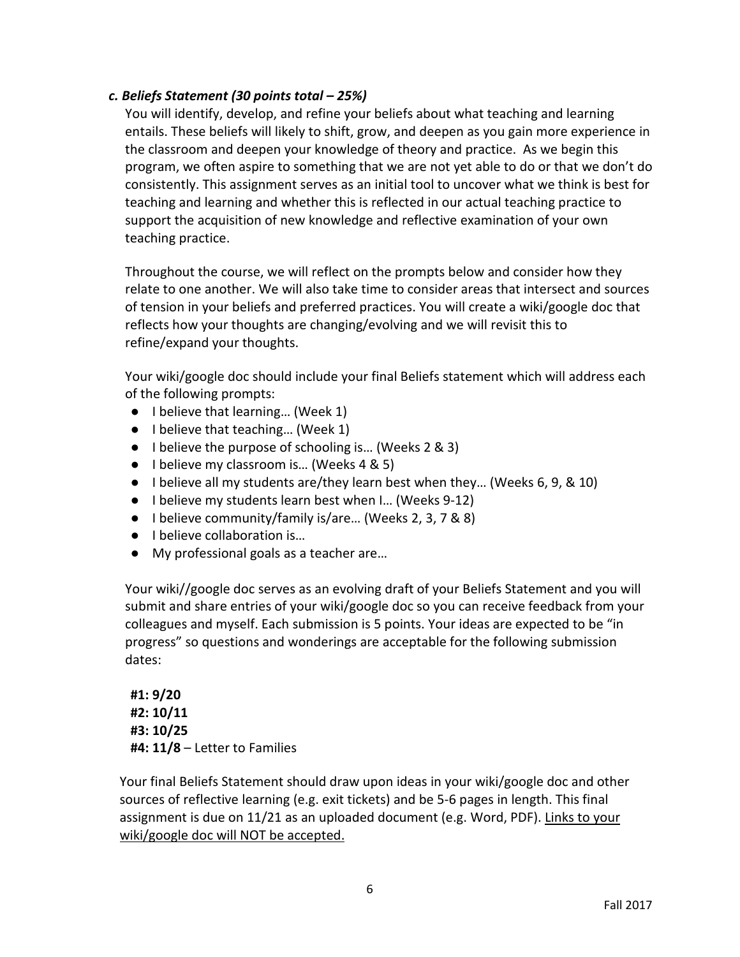## *c. Beliefs Statement (30 points total – 25%)*

You will identify, develop, and refine your beliefs about what teaching and learning entails. These beliefs will likely to shift, grow, and deepen as you gain more experience in the classroom and deepen your knowledge of theory and practice. As we begin this program, we often aspire to something that we are not yet able to do or that we don't do consistently. This assignment serves as an initial tool to uncover what we think is best for teaching and learning and whether this is reflected in our actual teaching practice to support the acquisition of new knowledge and reflective examination of your own teaching practice.

Throughout the course, we will reflect on the prompts below and consider how they relate to one another. We will also take time to consider areas that intersect and sources of tension in your beliefs and preferred practices. You will create a wiki/google doc that reflects how your thoughts are changing/evolving and we will revisit this to refine/expand your thoughts.

Your wiki/google doc should include your final Beliefs statement which will address each of the following prompts:

- I believe that learning... (Week 1)
- I believe that teaching... (Week 1)
- I believe the purpose of schooling is... (Weeks 2 & 3)
- I believe my classroom is... (Weeks 4 & 5)
- I believe all my students are/they learn best when they... (Weeks 6, 9, & 10)
- I believe my students learn best when I… (Weeks 9-12)
- I believe community/family is/are... (Weeks 2, 3, 7 & 8)
- I believe collaboration is...
- My professional goals as a teacher are...

Your wiki//google doc serves as an evolving draft of your Beliefs Statement and you will submit and share entries of your wiki/google doc so you can receive feedback from your colleagues and myself. Each submission is 5 points. Your ideas are expected to be "in progress" so questions and wonderings are acceptable for the following submission dates:

**#1: 9/20 #2: 10/11 #3: 10/25 #4: 11/8** – Letter to Families

Your final Beliefs Statement should draw upon ideas in your wiki/google doc and other sources of reflective learning (e.g. exit tickets) and be 5-6 pages in length. This final assignment is due on 11/21 as an uploaded document (e.g. Word, PDF). Links to your wiki/google doc will NOT be accepted.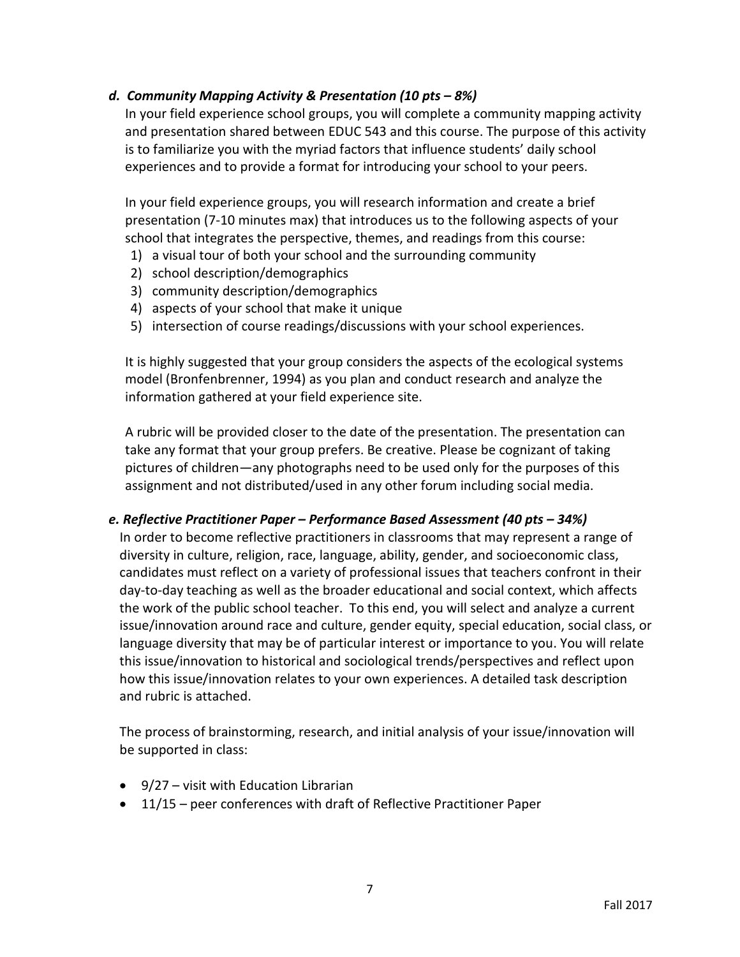## *d. Community Mapping Activity & Presentation (10 pts – 8%)*

In your field experience school groups, you will complete a community mapping activity and presentation shared between EDUC 543 and this course. The purpose of this activity is to familiarize you with the myriad factors that influence students' daily school experiences and to provide a format for introducing your school to your peers.

In your field experience groups, you will research information and create a brief presentation (7-10 minutes max) that introduces us to the following aspects of your school that integrates the perspective, themes, and readings from this course:

- 1) a visual tour of both your school and the surrounding community
- 2) school description/demographics
- 3) community description/demographics
- 4) aspects of your school that make it unique
- 5) intersection of course readings/discussions with your school experiences.

It is highly suggested that your group considers the aspects of the ecological systems model (Bronfenbrenner, 1994) as you plan and conduct research and analyze the information gathered at your field experience site.

A rubric will be provided closer to the date of the presentation. The presentation can take any format that your group prefers. Be creative. Please be cognizant of taking pictures of children—any photographs need to be used only for the purposes of this assignment and not distributed/used in any other forum including social media.

### *e. Reflective Practitioner Paper – Performance Based Assessment (40 pts – 34%)*

In order to become reflective practitioners in classrooms that may represent a range of diversity in culture, religion, race, language, ability, gender, and socioeconomic class, candidates must reflect on a variety of professional issues that teachers confront in their day-to-day teaching as well as the broader educational and social context, which affects the work of the public school teacher. To this end, you will select and analyze a current issue/innovation around race and culture, gender equity, special education, social class, or language diversity that may be of particular interest or importance to you. You will relate this issue/innovation to historical and sociological trends/perspectives and reflect upon how this issue/innovation relates to your own experiences. A detailed task description and rubric is attached.

The process of brainstorming, research, and initial analysis of your issue/innovation will be supported in class:

- 9/27 visit with Education Librarian
- 11/15 peer conferences with draft of Reflective Practitioner Paper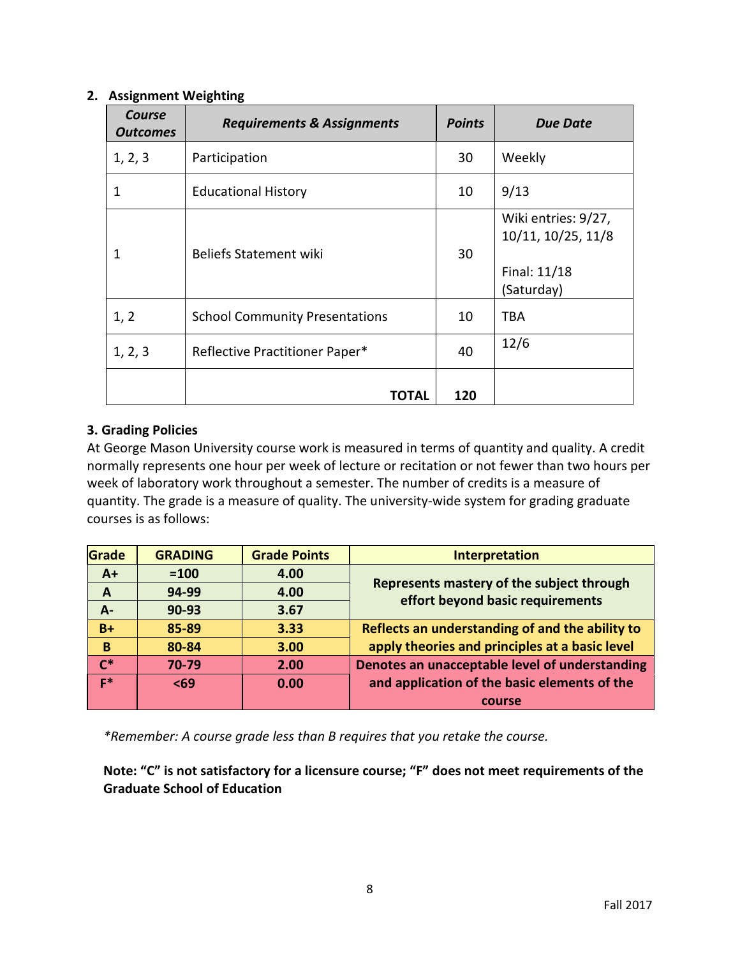### **2. Assignment Weighting**

| Course<br><b>Outcomes</b> | <b>Requirements &amp; Assignments</b> | <b>Points</b> | <b>Due Date</b>                                                         |
|---------------------------|---------------------------------------|---------------|-------------------------------------------------------------------------|
| 1, 2, 3                   | Participation                         | 30            | Weekly                                                                  |
| 1                         | <b>Educational History</b>            | 10            | 9/13                                                                    |
| 1                         | <b>Beliefs Statement wiki</b>         | 30            | Wiki entries: 9/27,<br>10/11, 10/25, 11/8<br>Final: 11/18<br>(Saturday) |
| 1, 2                      | <b>School Community Presentations</b> | 10            | TBA                                                                     |
| 1, 2, 3                   | Reflective Practitioner Paper*        | 40            | 12/6                                                                    |
|                           | TOTAL                                 | 120           |                                                                         |

### **3. Grading Policies**

At George Mason University course work is measured in terms of quantity and quality. A credit normally represents one hour per week of lecture or recitation or not fewer than two hours per week of laboratory work throughout a semester. The number of credits is a measure of quantity. The grade is a measure of quality. The university-wide system for grading graduate courses is as follows:

| Grade          | <b>GRADING</b> | <b>Grade Points</b> | Interpretation                                  |  |
|----------------|----------------|---------------------|-------------------------------------------------|--|
| $A+$           | $=100$         | 4.00                |                                                 |  |
| $\mathbf{A}$   | 94-99          | 4.00                | Represents mastery of the subject through       |  |
| $A -$          | $90 - 93$      | 3.67                | effort beyond basic requirements                |  |
| $B+$           | 85-89          | 3.33                | Reflects an understanding of and the ability to |  |
| B              | 80-84          | 3.00                | apply theories and principles at a basic level  |  |
| $\mathsf{r}^*$ | 70-79          | 2.00                | Denotes an unacceptable level of understanding  |  |
| E*             | $69$           | 0.00                | and application of the basic elements of the    |  |
|                |                |                     | course                                          |  |

*\*Remember: A course grade less than B requires that you retake the course.*

**Note: "C" is not satisfactory for a licensure course; "F" does not meet requirements of the Graduate School of Education**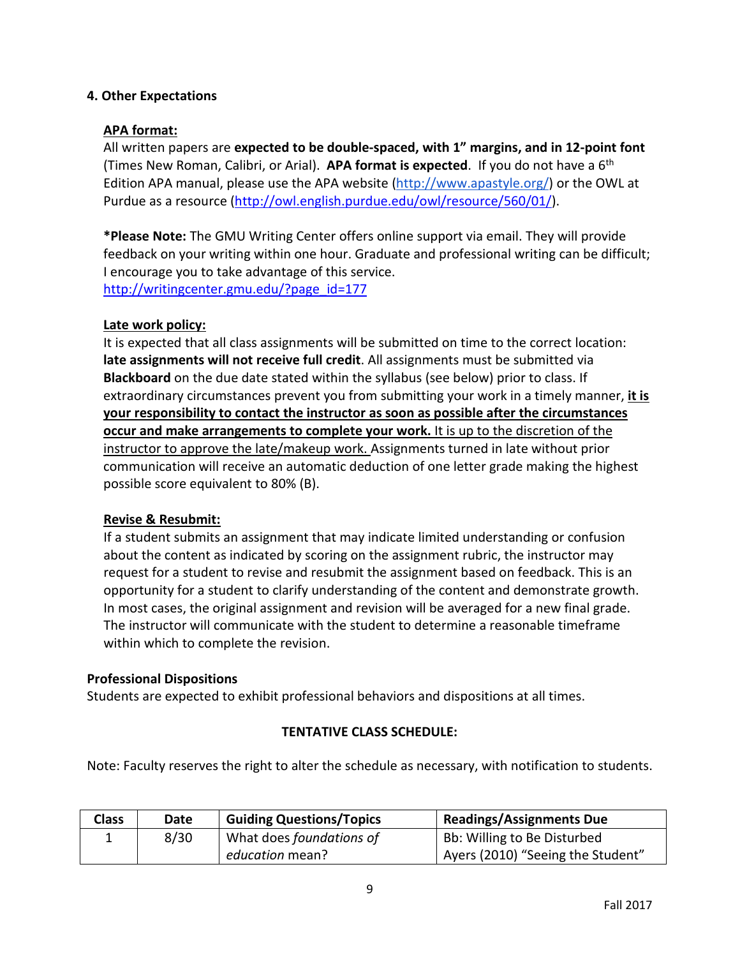### **4. Other Expectations**

### **APA format:**

All written papers are **expected to be double-spaced, with 1" margins, and in 12-point font** (Times New Roman, Calibri, or Arial). **APA format is expected**. If you do not have a 6th Edition APA manual, please use the APA website [\(http://www.apastyle.org/\)](http://www.apastyle.org/) or the OWL at Purdue as a resource [\(http://owl.english.purdue.edu/owl/resource/560/01/\)](http://owl.english.purdue.edu/owl/resource/560/01/).

**\*Please Note:** The GMU Writing Center offers online support via email. They will provide feedback on your writing within one hour. Graduate and professional writing can be difficult; I encourage you to take advantage of this service. [http://writingcenter.gmu.edu/?page\\_id=177](http://writingcenter.gmu.edu/?page_id=177)

### **Late work policy:**

It is expected that all class assignments will be submitted on time to the correct location: **late assignments will not receive full credit**. All assignments must be submitted via **Blackboard** on the due date stated within the syllabus (see below) prior to class. If extraordinary circumstances prevent you from submitting your work in a timely manner, **it is your responsibility to contact the instructor as soon as possible after the circumstances occur and make arrangements to complete your work.** It is up to the discretion of the instructor to approve the late/makeup work. Assignments turned in late without prior communication will receive an automatic deduction of one letter grade making the highest possible score equivalent to 80% (B).

### **Revise & Resubmit:**

If a student submits an assignment that may indicate limited understanding or confusion about the content as indicated by scoring on the assignment rubric, the instructor may request for a student to revise and resubmit the assignment based on feedback. This is an opportunity for a student to clarify understanding of the content and demonstrate growth. In most cases, the original assignment and revision will be averaged for a new final grade. The instructor will communicate with the student to determine a reasonable timeframe within which to complete the revision.

#### **Professional Dispositions**

Students are expected to exhibit professional behaviors and dispositions at all times.

### **TENTATIVE CLASS SCHEDULE:**

Note: Faculty reserves the right to alter the schedule as necessary, with notification to students.

| <b>Class</b> | Date | <b>Guiding Questions/Topics</b> | <b>Readings/Assignments Due</b>   |
|--------------|------|---------------------------------|-----------------------------------|
|              | 8/30 | What does foundations of        | Bb: Willing to Be Disturbed       |
|              |      | education mean?                 | Ayers (2010) "Seeing the Student" |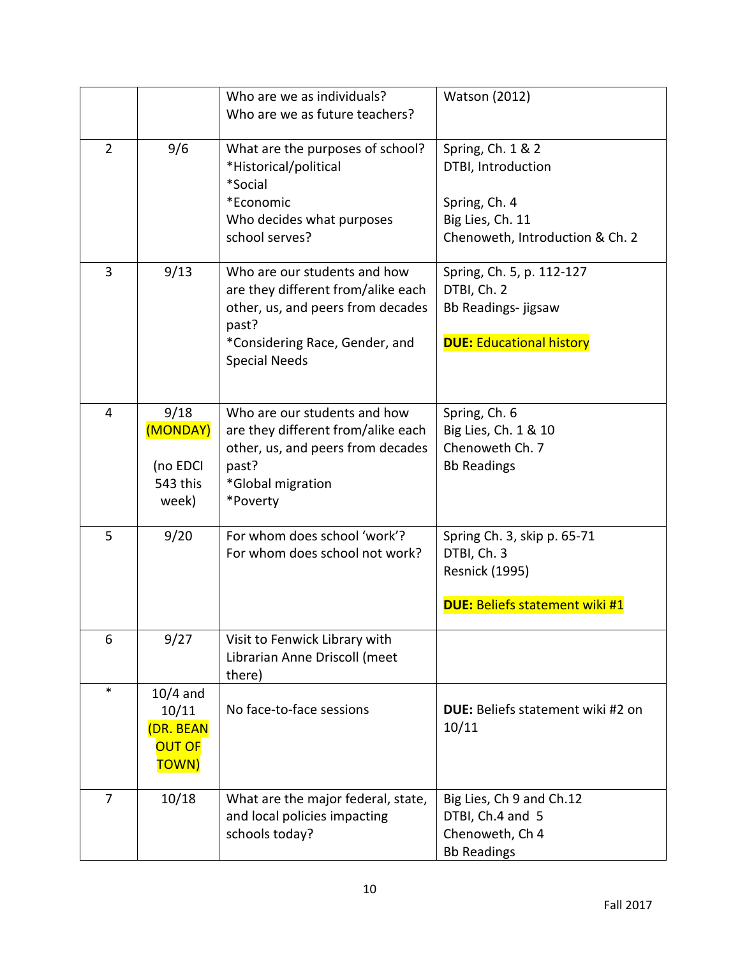|                |                                                            | Who are we as individuals?<br>Who are we as future teachers?                                                                                                               | <b>Watson (2012)</b>                                                                                            |
|----------------|------------------------------------------------------------|----------------------------------------------------------------------------------------------------------------------------------------------------------------------------|-----------------------------------------------------------------------------------------------------------------|
| $\overline{2}$ | 9/6                                                        | What are the purposes of school?<br>*Historical/political<br>*Social<br>*Economic<br>Who decides what purposes<br>school serves?                                           | Spring, Ch. 1 & 2<br>DTBI, Introduction<br>Spring, Ch. 4<br>Big Lies, Ch. 11<br>Chenoweth, Introduction & Ch. 2 |
| 3              | 9/13                                                       | Who are our students and how<br>are they different from/alike each<br>other, us, and peers from decades<br>past?<br>*Considering Race, Gender, and<br><b>Special Needs</b> | Spring, Ch. 5, p. 112-127<br>DTBI, Ch. 2<br>Bb Readings- jigsaw<br><b>DUE: Educational history</b>              |
| 4              | 9/18<br>(MONDAY)<br>(no EDCI<br>543 this<br>week)          | Who are our students and how<br>are they different from/alike each<br>other, us, and peers from decades<br>past?<br>*Global migration<br>*Poverty                          | Spring, Ch. 6<br>Big Lies, Ch. 1 & 10<br>Chenoweth Ch. 7<br><b>Bb Readings</b>                                  |
| 5              | 9/20                                                       | For whom does school 'work'?<br>For whom does school not work?                                                                                                             | Spring Ch. 3, skip p. 65-71<br>DTBI, Ch. 3<br><b>Resnick (1995)</b><br><b>DUE: Beliefs statement wiki #1</b>    |
| 6              | 9/27                                                       | Visit to Fenwick Library with<br>Librarian Anne Driscoll (meet<br>there)                                                                                                   |                                                                                                                 |
| $\ast$         | $10/4$ and<br>10/11<br>(DR. BEAN<br><b>OUT OF</b><br>TOWN) | No face-to-face sessions                                                                                                                                                   | DUE: Beliefs statement wiki #2 on<br>10/11                                                                      |
| $\overline{7}$ | 10/18                                                      | What are the major federal, state,<br>and local policies impacting<br>schools today?                                                                                       | Big Lies, Ch 9 and Ch.12<br>DTBI, Ch.4 and 5<br>Chenoweth, Ch 4<br><b>Bb Readings</b>                           |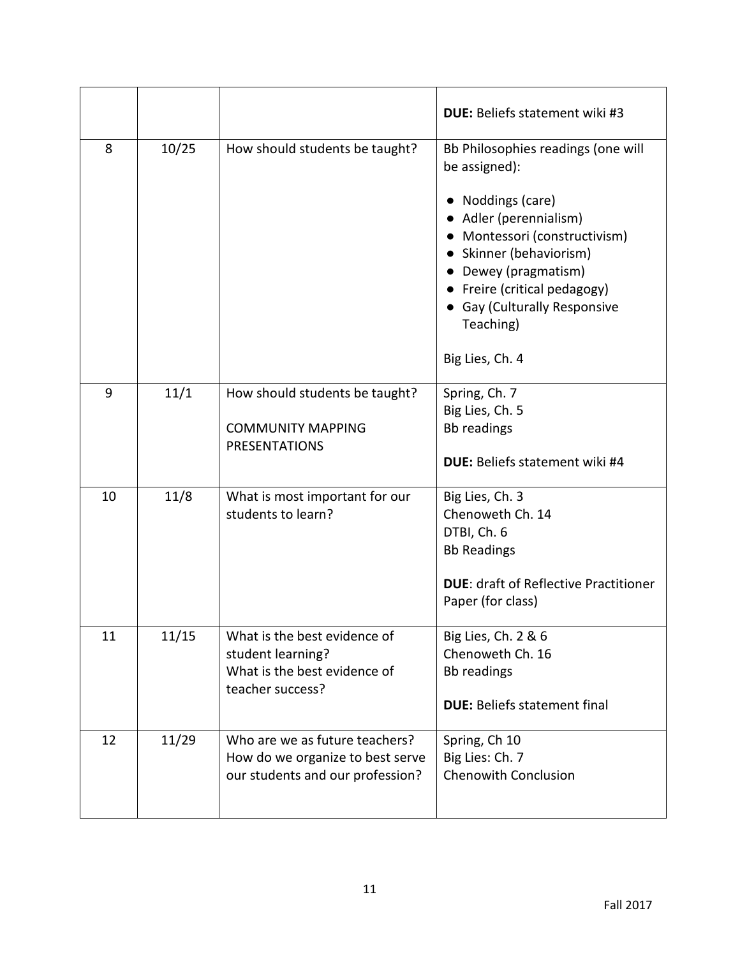|    |       |                                                                                                        | <b>DUE:</b> Beliefs statement wiki #3                                                                                                                                                                                                                                              |
|----|-------|--------------------------------------------------------------------------------------------------------|------------------------------------------------------------------------------------------------------------------------------------------------------------------------------------------------------------------------------------------------------------------------------------|
| 8  | 10/25 | How should students be taught?                                                                         | Bb Philosophies readings (one will<br>be assigned):<br>Noddings (care)<br>Adler (perennialism)<br>• Montessori (constructivism)<br>• Skinner (behaviorism)<br>• Dewey (pragmatism)<br>• Freire (critical pedagogy)<br>• Gay (Culturally Responsive<br>Teaching)<br>Big Lies, Ch. 4 |
| 9  | 11/1  | How should students be taught?<br><b>COMMUNITY MAPPING</b><br><b>PRESENTATIONS</b>                     | Spring, Ch. 7<br>Big Lies, Ch. 5<br><b>Bb</b> readings<br><b>DUE: Beliefs statement wiki #4</b>                                                                                                                                                                                    |
| 10 | 11/8  | What is most important for our<br>students to learn?                                                   | Big Lies, Ch. 3<br>Chenoweth Ch. 14<br>DTBI, Ch. 6<br><b>Bb Readings</b><br><b>DUE: draft of Reflective Practitioner</b><br>Paper (for class)                                                                                                                                      |
| 11 | 11/15 | What is the best evidence of<br>student learning?<br>What is the best evidence of<br>teacher success?  | Big Lies, Ch. 2 & 6<br>Chenoweth Ch. 16<br><b>Bb</b> readings<br><b>DUE: Beliefs statement final</b>                                                                                                                                                                               |
| 12 | 11/29 | Who are we as future teachers?<br>How do we organize to best serve<br>our students and our profession? | Spring, Ch 10<br>Big Lies: Ch. 7<br><b>Chenowith Conclusion</b>                                                                                                                                                                                                                    |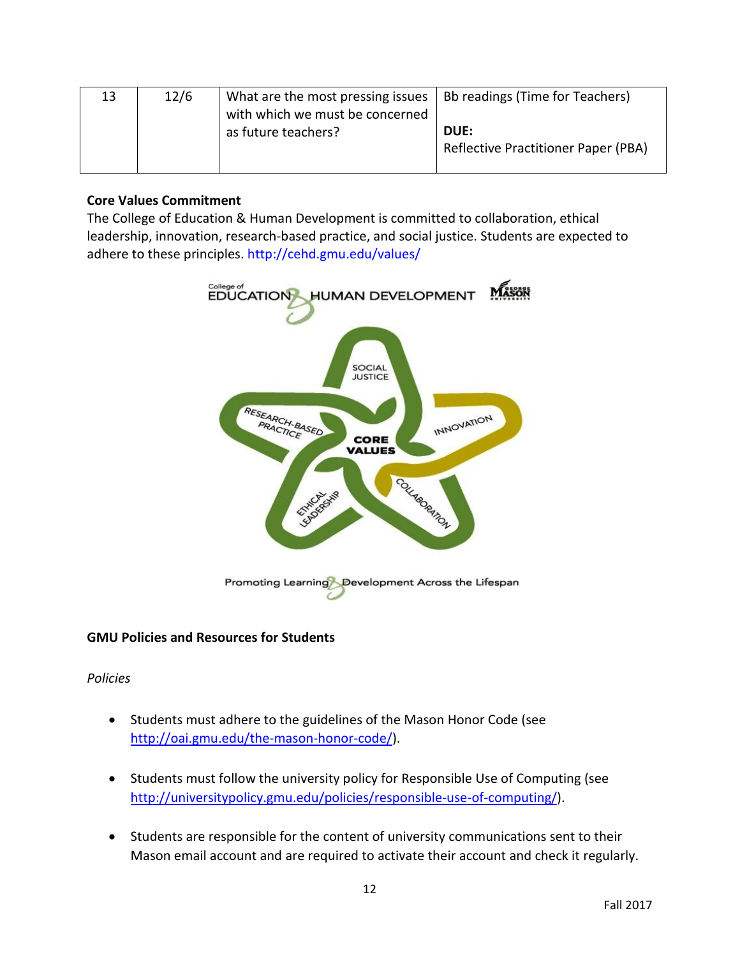| 13 | 12/6 | What are the most pressing issues<br>with which we must be concerned | Bb readings (Time for Teachers)                    |
|----|------|----------------------------------------------------------------------|----------------------------------------------------|
|    |      | as future teachers?                                                  | DUE:<br><b>Reflective Practitioner Paper (PBA)</b> |

## **Core Values Commitment**

The College of Education & Human Development is committed to collaboration, ethical leadership, innovation, research-based practice, and social justice. Students are expected to adhere to these principles.<http://cehd.gmu.edu/values/>



# **GMU Policies and Resources for Students**

*Policies*

- Students must adhere to the guidelines of the Mason Honor Code (see [http://oai.gmu.edu/the-mason-honor-code/\)](http://oai.gmu.edu/the-mason-honor-code/).
- Students must follow the university policy for Responsible Use of Computing (see [http://universitypolicy.gmu.edu/policies/responsible-use-of-computing/\)](http://universitypolicy.gmu.edu/policies/responsible-use-of-computing/).
- Students are responsible for the content of university communications sent to their Mason email account and are required to activate their account and check it regularly.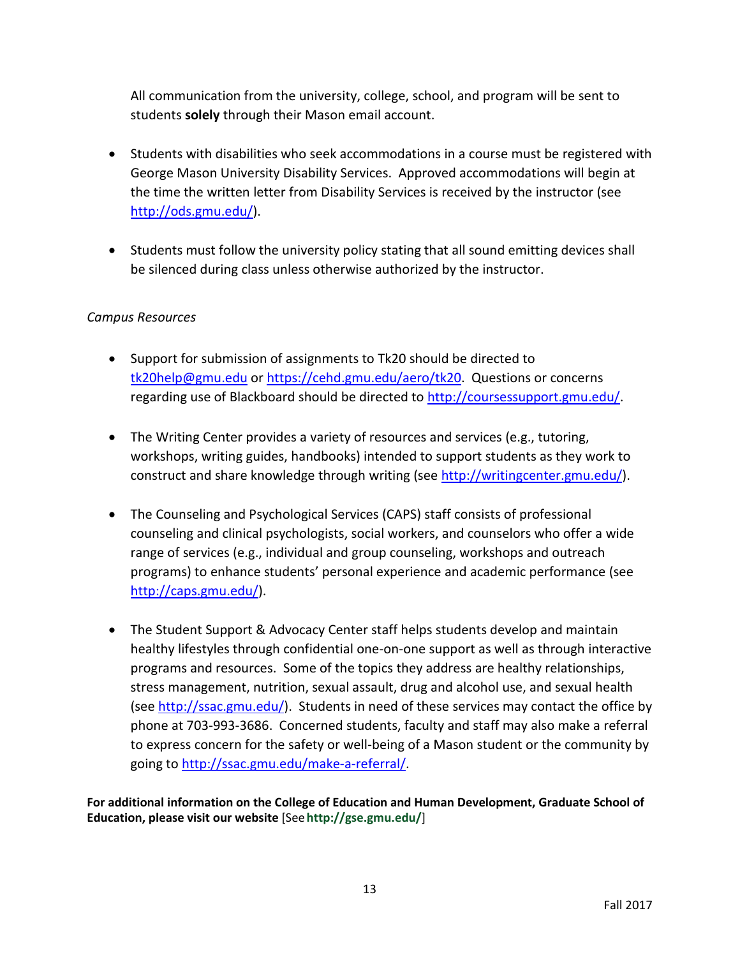All communication from the university, college, school, and program will be sent to students **solely** through their Mason email account.

- Students with disabilities who seek accommodations in a course must be registered with George Mason University Disability Services. Approved accommodations will begin at the time the written letter from Disability Services is received by the instructor (see [http://ods.gmu.edu/\)](http://ods.gmu.edu/).
- Students must follow the university policy stating that all sound emitting devices shall be silenced during class unless otherwise authorized by the instructor.

# *Campus Resources*

- Support for submission of assignments to Tk20 should be directed to [tk20help@gmu.edu](mailto:tk20help@gmu.edu) or [https://cehd.gmu.edu/aero/tk20.](https://cehd.gmu.edu/aero/tk20) Questions or concerns regarding use of Blackboard should be directed to [http://coursessupport.gmu.edu/.](http://coursessupport.gmu.edu/)
- The Writing Center provides a variety of resources and services (e.g., tutoring, workshops, writing guides, handbooks) intended to support students as they work to construct and share knowledge through writing (see [http://writingcenter.gmu.edu/\)](http://writingcenter.gmu.edu/).
- The Counseling and Psychological Services (CAPS) staff consists of professional counseling and clinical psychologists, social workers, and counselors who offer a wide range of services (e.g., individual and group counseling, workshops and outreach programs) to enhance students' personal experience and academic performance (see [http://caps.gmu.edu/\)](http://caps.gmu.edu/).
- The Student Support & Advocacy Center staff helps students develop and maintain healthy lifestyles through confidential one-on-one support as well as through interactive programs and resources. Some of the topics they address are healthy relationships, stress management, nutrition, sexual assault, drug and alcohol use, and sexual health (see [http://ssac.gmu.edu/\)](http://ssac.gmu.edu/). Students in need of these services may contact the office by phone at 703-993-3686. Concerned students, faculty and staff may also make a referral to express concern for the safety or well-being of a Mason student or the community by going to [http://ssac.gmu.edu/make-a-referral/.](http://ssac.gmu.edu/make-a-referral/)

**For additional information on the College of Education and Human Development, Graduate School of Education, please visit our website** [See**<http://gse.gmu.edu/>**]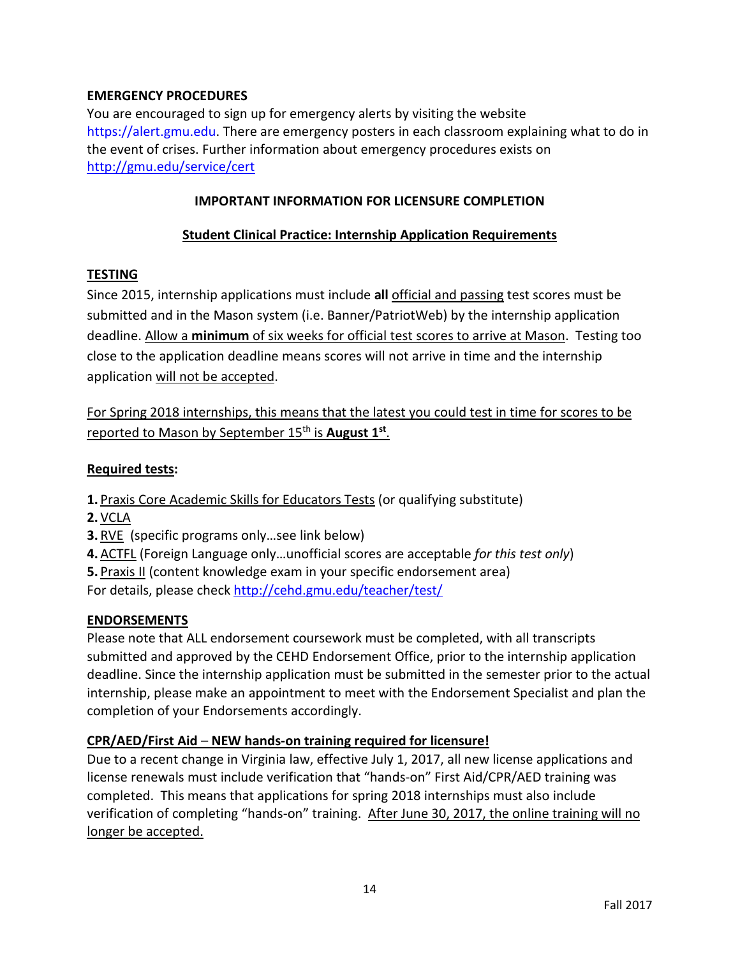# **EMERGENCY PROCEDURES**

You are encouraged to sign up for emergency alerts by visiting the website [https://alert.gmu.edu.](https://alert.gmu.edu/) There are emergency posters in each classroom explaining what to do in the event of crises. Further information about emergency procedures exists on <http://gmu.edu/service/cert>

## **IMPORTANT INFORMATION FOR LICENSURE COMPLETION**

## **Student Clinical Practice: Internship Application Requirements**

# **TESTING**

Since 2015, internship applications must include **all** official and passing test scores must be submitted and in the Mason system (i.e. Banner/PatriotWeb) by the internship application deadline. Allow a **minimum** of six weeks for official test scores to arrive at Mason. Testing too close to the application deadline means scores will not arrive in time and the internship application will not be accepted.

For Spring 2018 internships, this means that the latest you could test in time for scores to be reported to Mason by September 15<sup>th</sup> is **August 1st**.

### **Required tests:**

**1.** Praxis Core Academic Skills for Educators Tests (or qualifying substitute)

- **2.** VCLA
- **3.** RVE (specific programs only…see link below)
- **4.**ACTFL (Foreign Language only…unofficial scores are acceptable *for this test only*)

**5.** Praxis II (content knowledge exam in your specific endorsement area)

For details, please check<http://cehd.gmu.edu/teacher/test/>

# **ENDORSEMENTS**

Please note that ALL endorsement coursework must be completed, with all transcripts submitted and approved by the CEHD Endorsement Office, prior to the internship application deadline. Since the internship application must be submitted in the semester prior to the actual internship, please make an appointment to meet with the Endorsement Specialist and plan the completion of your Endorsements accordingly.

# **CPR/AED/First Aid** – **NEW hands-on training required for licensure!**

Due to a recent change in Virginia law, effective July 1, 2017, all new license applications and license renewals must include verification that "hands-on" First Aid/CPR/AED training was completed. This means that applications for spring 2018 internships must also include verification of completing "hands-on" training. After June 30, 2017, the online training will no longer be accepted.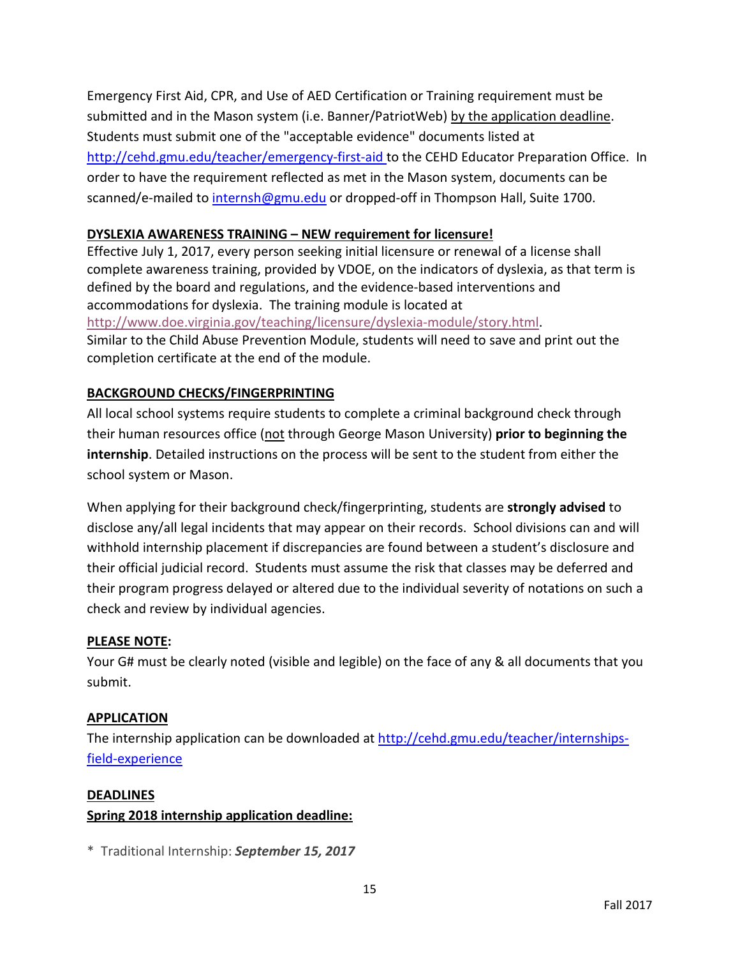Emergency First Aid, CPR, and Use of AED Certification or Training requirement must be submitted and in the Mason system (i.e. Banner/PatriotWeb) by the application deadline. Students must submit one of the "acceptable evidence" documents listed at <http://cehd.gmu.edu/teacher/emergency-first-aid> to the CEHD Educator Preparation Office. In order to have the requirement reflected as met in the Mason system, documents can be scanned/e-mailed t[o internsh@gmu.edu](mailto:internsh@gmu.edu) or dropped-off in Thompson Hall, Suite 1700.

## **DYSLEXIA AWARENESS TRAINING – NEW requirement for licensure!**

Effective July 1, 2017, every person seeking initial licensure or renewal of a license shall complete awareness training, provided by VDOE, on the indicators of dyslexia, as that term is defined by the board and regulations, and the evidence-based interventions and accommodations for dyslexia. The training module is located at [http://www.doe.virginia.gov/teaching/licensure/dyslexia-module/story.html.](http://www.doe.virginia.gov/teaching/licensure/dyslexia-module/story.html) Similar to the Child Abuse Prevention Module, students will need to save and print out the completion certificate at the end of the module.

### **BACKGROUND CHECKS/FINGERPRINTING**

All local school systems require students to complete a criminal background check through their human resources office (not through George Mason University) **prior to beginning the internship**. Detailed instructions on the process will be sent to the student from either the school system or Mason.

When applying for their background check/fingerprinting, students are **strongly advised** to disclose any/all legal incidents that may appear on their records. School divisions can and will withhold internship placement if discrepancies are found between a student's disclosure and their official judicial record. Students must assume the risk that classes may be deferred and their program progress delayed or altered due to the individual severity of notations on such a check and review by individual agencies.

### **PLEASE NOTE:**

Your G# must be clearly noted (visible and legible) on the face of any & all documents that you submit.

### **APPLICATION**

The internship application can be downloaded at [http://cehd.gmu.edu/teacher/internships](http://cehd.gmu.edu/teacher/internships-field-experience)[field-experience](http://cehd.gmu.edu/teacher/internships-field-experience)

### **DEADLINES**

### **Spring 2018 internship application deadline:**

\* Traditional Internship: *September 15, 2017*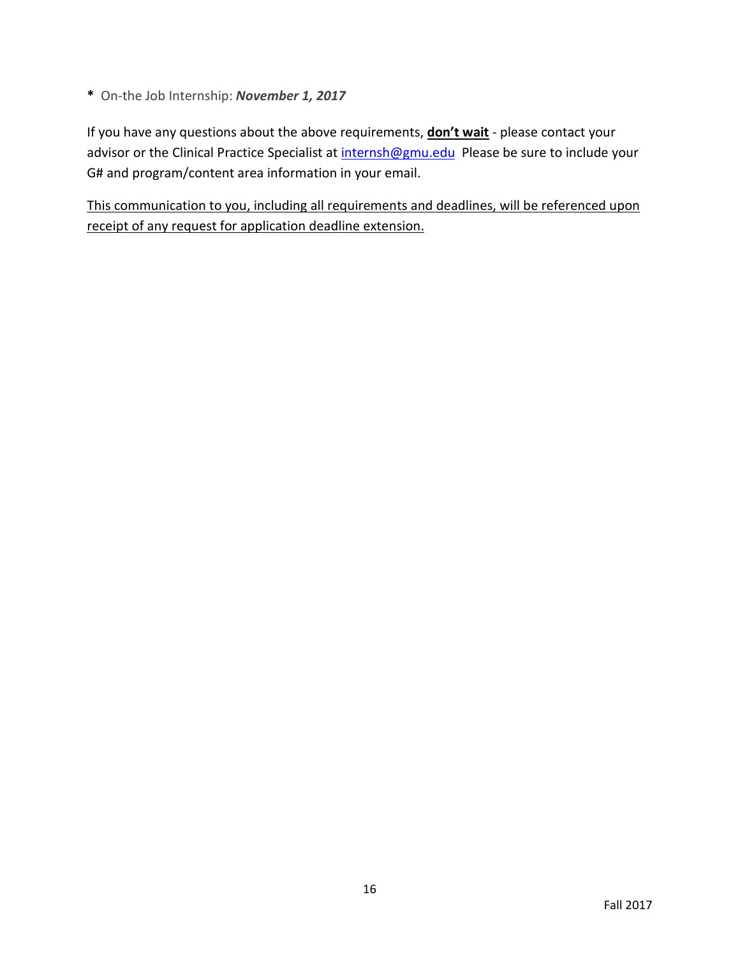**\*** On-the Job Internship: *November 1, 2017*

If you have any questions about the above requirements, **don't wait** - please contact your advisor or the Clinical Practice Specialist at [internsh@gmu.edu](mailto:internsh@gmu.edu) Please be sure to include your G# and program/content area information in your email.

This communication to you, including all requirements and deadlines, will be referenced upon receipt of any request for application deadline extension.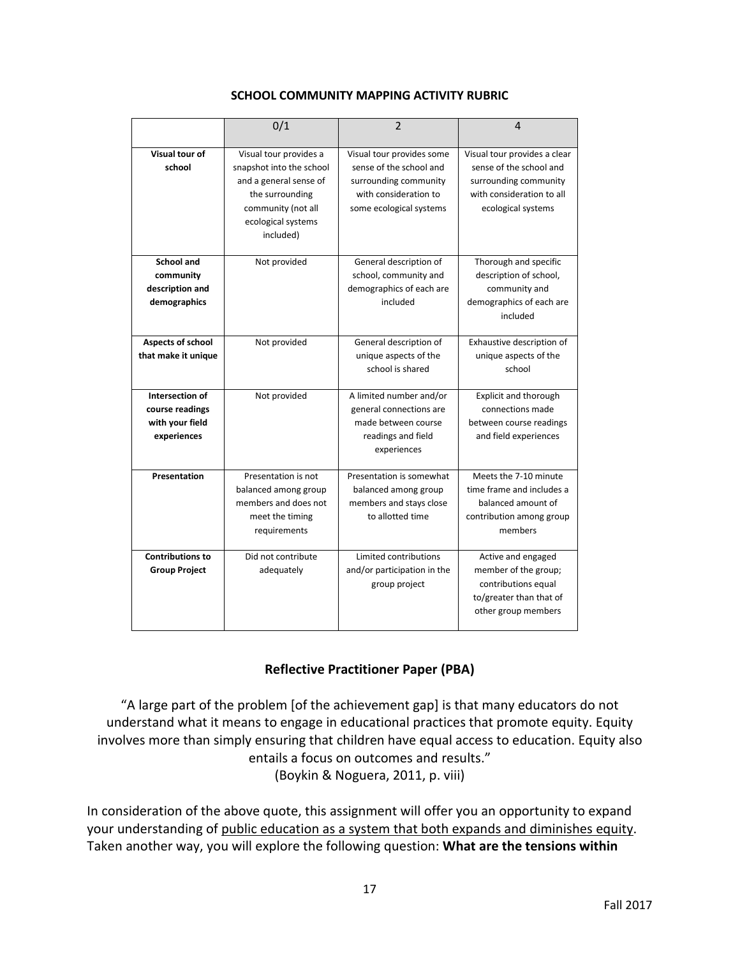|                                                                      | 0/1                                                                                                                            | $\overline{2}$                                                                                                 | 4                                                                                                                   |
|----------------------------------------------------------------------|--------------------------------------------------------------------------------------------------------------------------------|----------------------------------------------------------------------------------------------------------------|---------------------------------------------------------------------------------------------------------------------|
| Visual tour of                                                       | Visual tour provides a                                                                                                         | Visual tour provides some                                                                                      | Visual tour provides a clear                                                                                        |
| school                                                               | snapshot into the school<br>and a general sense of<br>the surrounding<br>community (not all<br>ecological systems<br>included) | sense of the school and<br>surrounding community<br>with consideration to<br>some ecological systems           | sense of the school and<br>surrounding community<br>with consideration to all<br>ecological systems                 |
| <b>School and</b><br>community<br>description and<br>demographics    | Not provided                                                                                                                   | General description of<br>school, community and<br>demographics of each are<br>included                        | Thorough and specific<br>description of school,<br>community and<br>demographics of each are<br>included            |
| Aspects of school<br>that make it unique                             | Not provided                                                                                                                   | General description of<br>unique aspects of the<br>school is shared                                            | Exhaustive description of<br>unique aspects of the<br>school                                                        |
| Intersection of<br>course readings<br>with your field<br>experiences | Not provided                                                                                                                   | A limited number and/or<br>general connections are<br>made between course<br>readings and field<br>experiences | Explicit and thorough<br>connections made<br>between course readings<br>and field experiences                       |
| Presentation                                                         | Presentation is not<br>balanced among group<br>members and does not<br>meet the timing<br>requirements                         | Presentation is somewhat<br>balanced among group<br>members and stays close<br>to allotted time                | Meets the 7-10 minute<br>time frame and includes a<br>balanced amount of<br>contribution among group<br>members     |
| <b>Contributions to</b><br><b>Group Project</b>                      | Did not contribute<br>adequately                                                                                               | Limited contributions<br>and/or participation in the<br>group project                                          | Active and engaged<br>member of the group;<br>contributions equal<br>to/greater than that of<br>other group members |

#### **SCHOOL COMMUNITY MAPPING ACTIVITY RUBRIC**

### **Reflective Practitioner Paper (PBA)**

"A large part of the problem [of the achievement gap] is that many educators do not understand what it means to engage in educational practices that promote equity. Equity involves more than simply ensuring that children have equal access to education. Equity also entails a focus on outcomes and results." (Boykin & Noguera, 2011, p. viii)

In consideration of the above quote, this assignment will offer you an opportunity to expand your understanding of public education as a system that both expands and diminishes equity. Taken another way, you will explore the following question: **What are the tensions within**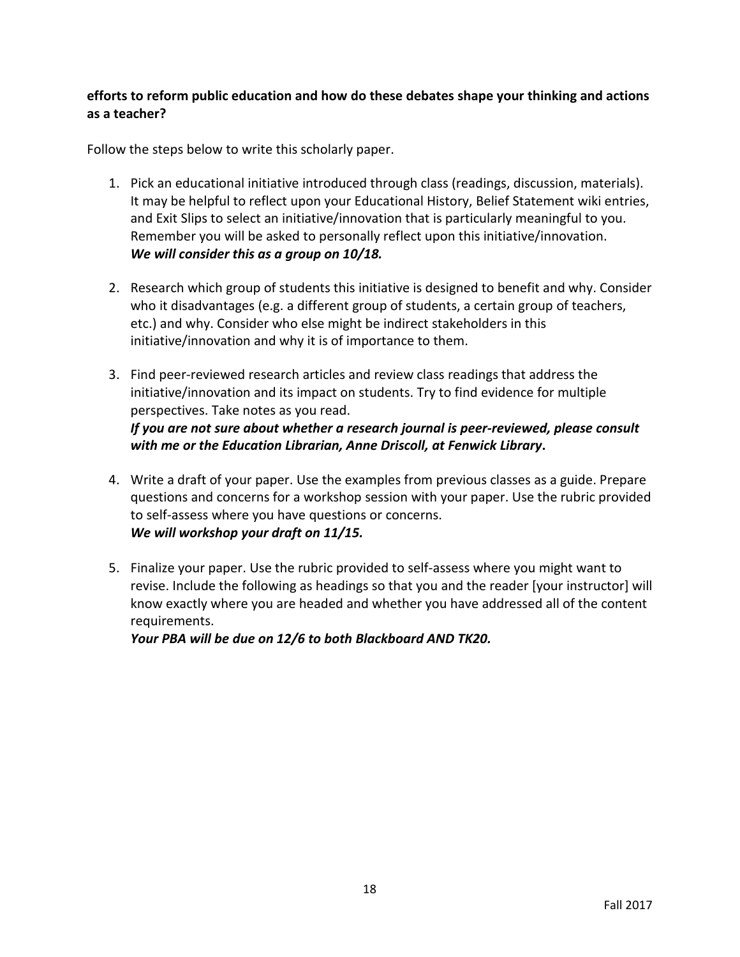# **efforts to reform public education and how do these debates shape your thinking and actions as a teacher?**

Follow the steps below to write this scholarly paper.

- 1. Pick an educational initiative introduced through class (readings, discussion, materials). It may be helpful to reflect upon your Educational History, Belief Statement wiki entries, and Exit Slips to select an initiative/innovation that is particularly meaningful to you. Remember you will be asked to personally reflect upon this initiative/innovation. *We will consider this as a group on 10/18.*
- 2. Research which group of students this initiative is designed to benefit and why. Consider who it disadvantages (e.g. a different group of students, a certain group of teachers, etc.) and why. Consider who else might be indirect stakeholders in this initiative/innovation and why it is of importance to them.
- 3. Find peer-reviewed research articles and review class readings that address the initiative/innovation and its impact on students. Try to find evidence for multiple perspectives. Take notes as you read. *If you are not sure about whether a research journal is peer-reviewed, please consult with me or the Education Librarian, Anne Driscoll, at Fenwick Library***.**
- 4. Write a draft of your paper. Use the examples from previous classes as a guide. Prepare questions and concerns for a workshop session with your paper. Use the rubric provided to self-assess where you have questions or concerns. *We will workshop your draft on 11/15.*
- 5. Finalize your paper. Use the rubric provided to self-assess where you might want to revise. Include the following as headings so that you and the reader [your instructor] will know exactly where you are headed and whether you have addressed all of the content requirements.

*Your PBA will be due on 12/6 to both Blackboard AND TK20.*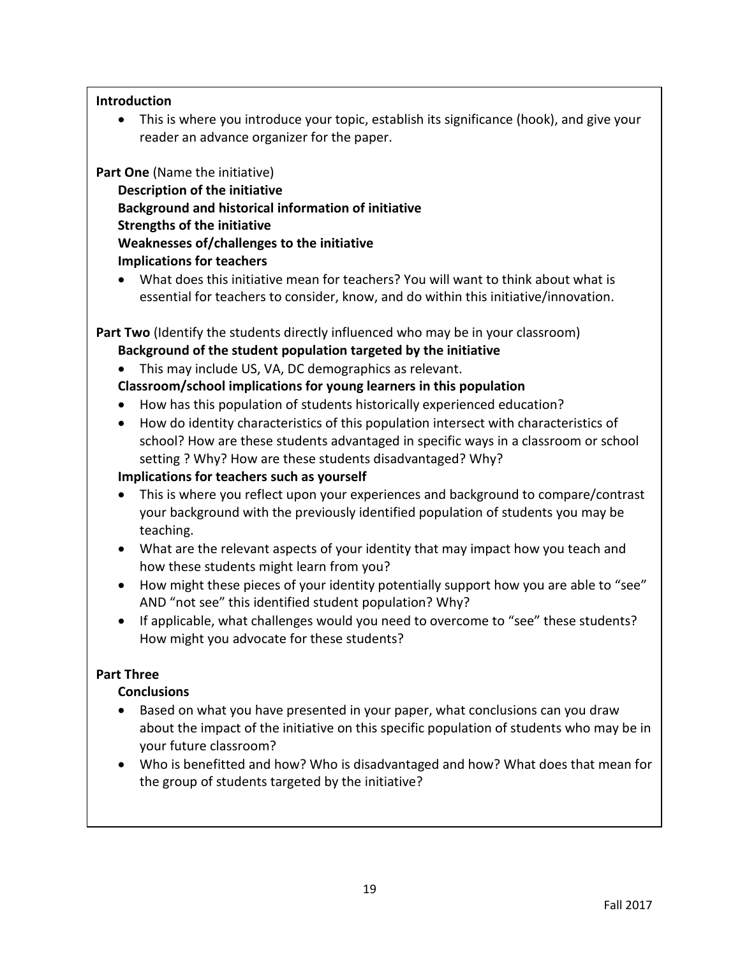### **Introduction**

• This is where you introduce your topic, establish its significance (hook), and give your reader an advance organizer for the paper.

**Part One** (Name the initiative)

**Description of the initiative Background and historical information of initiative Strengths of the initiative Weaknesses of/challenges to the initiative Implications for teachers** 

• What does this initiative mean for teachers? You will want to think about what is essential for teachers to consider, know, and do within this initiative/innovation.

Part Two (Identify the students directly influenced who may be in your classroom) **Background of the student population targeted by the initiative**

• This may include US, VA, DC demographics as relevant.

**Classroom/school implications for young learners in this population**

- How has this population of students historically experienced education?
- How do identity characteristics of this population intersect with characteristics of school? How are these students advantaged in specific ways in a classroom or school setting ? Why? How are these students disadvantaged? Why?

### **Implications for teachers such as yourself**

- This is where you reflect upon your experiences and background to compare/contrast your background with the previously identified population of students you may be teaching.
- What are the relevant aspects of your identity that may impact how you teach and how these students might learn from you?
- How might these pieces of your identity potentially support how you are able to "see" AND "not see" this identified student population? Why?
- If applicable, what challenges would you need to overcome to "see" these students? How might you advocate for these students?

# **Part Three**

# **Conclusions**

- Based on what you have presented in your paper, what conclusions can you draw about the impact of the initiative on this specific population of students who may be in your future classroom?
- Who is benefitted and how? Who is disadvantaged and how? What does that mean for the group of students targeted by the initiative?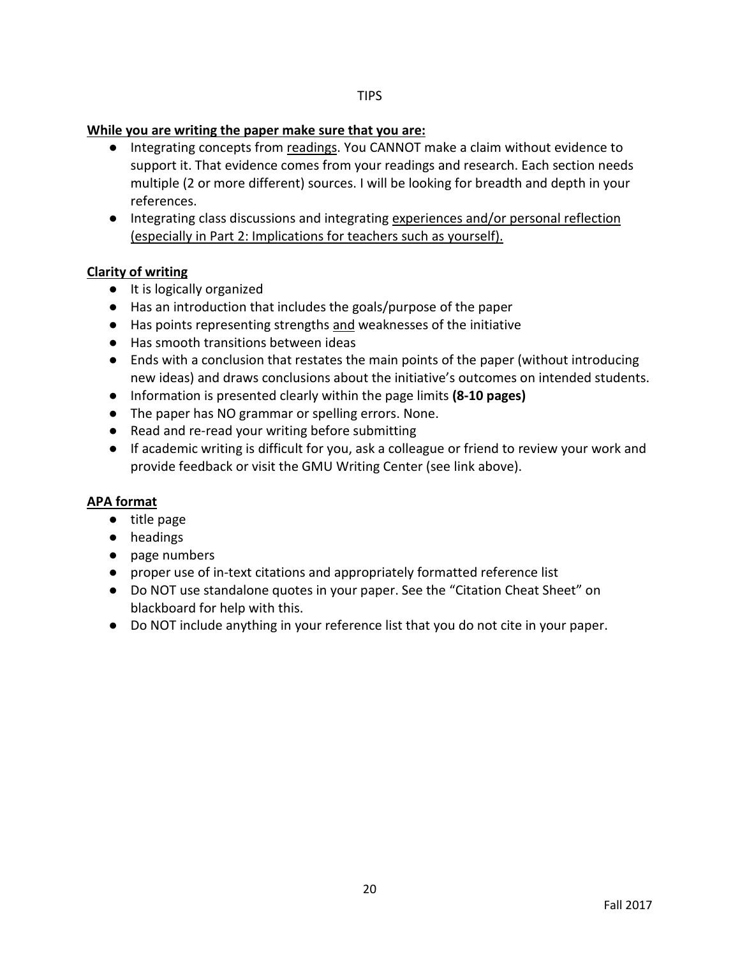#### **While you are writing the paper make sure that you are:**

- Integrating concepts from readings. You CANNOT make a claim without evidence to support it. That evidence comes from your readings and research. Each section needs multiple (2 or more different) sources. I will be looking for breadth and depth in your references.
- Integrating class discussions and integrating experiences and/or personal reflection (especially in Part 2: Implications for teachers such as yourself).

### **Clarity of writing**

- It is logically organized
- Has an introduction that includes the goals/purpose of the paper
- Has points representing strengths and weaknesses of the initiative
- Has smooth transitions between ideas
- Ends with a conclusion that restates the main points of the paper (without introducing new ideas) and draws conclusions about the initiative's outcomes on intended students.
- Information is presented clearly within the page limits **(8-10 pages)**
- The paper has NO grammar or spelling errors. None.
- Read and re-read your writing before submitting
- If academic writing is difficult for you, ask a colleague or friend to review your work and provide feedback or visit the GMU Writing Center (see link above).

### **APA format**

- title page
- headings
- page numbers
- proper use of in-text citations and appropriately formatted reference list
- Do NOT use standalone quotes in your paper. See the "Citation Cheat Sheet" on blackboard for help with this.
- Do NOT include anything in your reference list that you do not cite in your paper.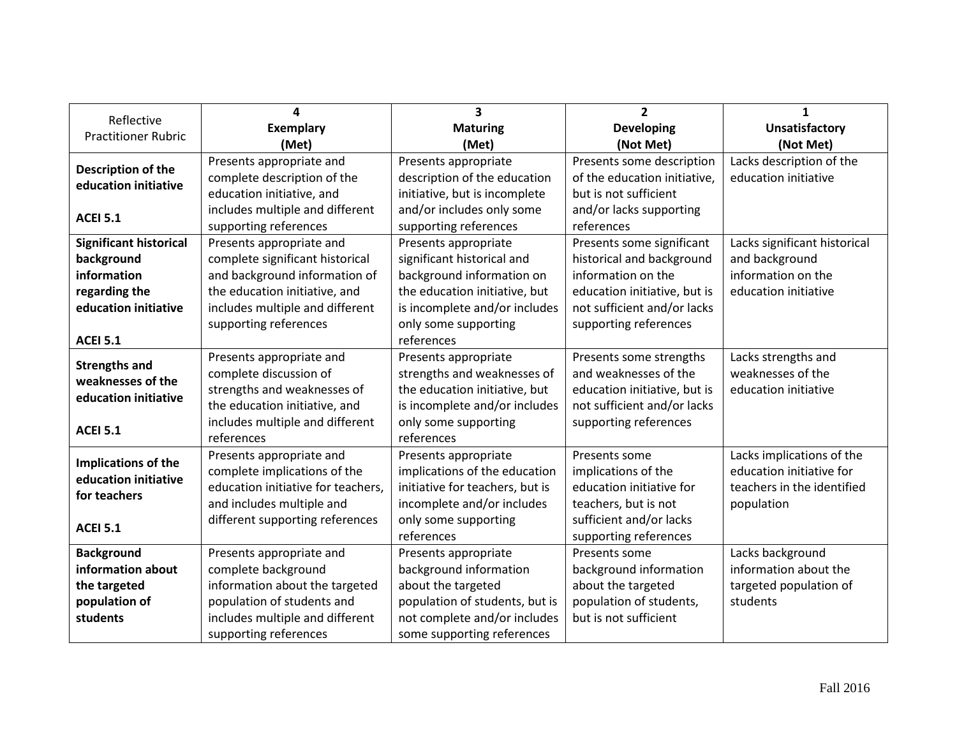| Reflective                    | 4                                  | $\overline{\mathbf{3}}$         | $\overline{2}$               | 1                            |
|-------------------------------|------------------------------------|---------------------------------|------------------------------|------------------------------|
| <b>Practitioner Rubric</b>    | <b>Exemplary</b>                   | <b>Maturing</b>                 | <b>Developing</b>            | <b>Unsatisfactory</b>        |
|                               | (Met)                              | (Met)                           | (Not Met)                    | (Not Met)                    |
| Description of the            | Presents appropriate and           | Presents appropriate            | Presents some description    | Lacks description of the     |
| education initiative          | complete description of the        | description of the education    | of the education initiative, | education initiative         |
|                               | education initiative, and          | initiative, but is incomplete   | but is not sufficient        |                              |
| <b>ACEI 5.1</b>               | includes multiple and different    | and/or includes only some       | and/or lacks supporting      |                              |
|                               | supporting references              | supporting references           | references                   |                              |
| <b>Significant historical</b> | Presents appropriate and           | Presents appropriate            | Presents some significant    | Lacks significant historical |
| background                    | complete significant historical    | significant historical and      | historical and background    | and background               |
| information                   | and background information of      | background information on       | information on the           | information on the           |
| regarding the                 | the education initiative, and      | the education initiative, but   | education initiative, but is | education initiative         |
| education initiative          | includes multiple and different    | is incomplete and/or includes   | not sufficient and/or lacks  |                              |
|                               | supporting references              | only some supporting            | supporting references        |                              |
| <b>ACEI 5.1</b>               |                                    | references                      |                              |                              |
| <b>Strengths and</b>          | Presents appropriate and           | Presents appropriate            | Presents some strengths      | Lacks strengths and          |
| weaknesses of the             | complete discussion of             | strengths and weaknesses of     | and weaknesses of the        | weaknesses of the            |
| education initiative          | strengths and weaknesses of        | the education initiative, but   | education initiative, but is | education initiative         |
|                               | the education initiative, and      | is incomplete and/or includes   | not sufficient and/or lacks  |                              |
| <b>ACEI 5.1</b>               | includes multiple and different    | only some supporting            | supporting references        |                              |
|                               | references                         | references                      |                              |                              |
| Implications of the           | Presents appropriate and           | Presents appropriate            | Presents some                | Lacks implications of the    |
| education initiative          | complete implications of the       | implications of the education   | implications of the          | education initiative for     |
| for teachers                  | education initiative for teachers, | initiative for teachers, but is | education initiative for     | teachers in the identified   |
|                               | and includes multiple and          | incomplete and/or includes      | teachers, but is not         | population                   |
| <b>ACEI 5.1</b>               | different supporting references    | only some supporting            | sufficient and/or lacks      |                              |
|                               |                                    | references                      | supporting references        |                              |
| <b>Background</b>             | Presents appropriate and           | Presents appropriate            | Presents some                | Lacks background             |
| information about             | complete background                | background information          | background information       | information about the        |
| the targeted                  | information about the targeted     | about the targeted              | about the targeted           | targeted population of       |
| population of                 | population of students and         | population of students, but is  | population of students,      | students                     |
| students                      | includes multiple and different    | not complete and/or includes    | but is not sufficient        |                              |
|                               | supporting references              | some supporting references      |                              |                              |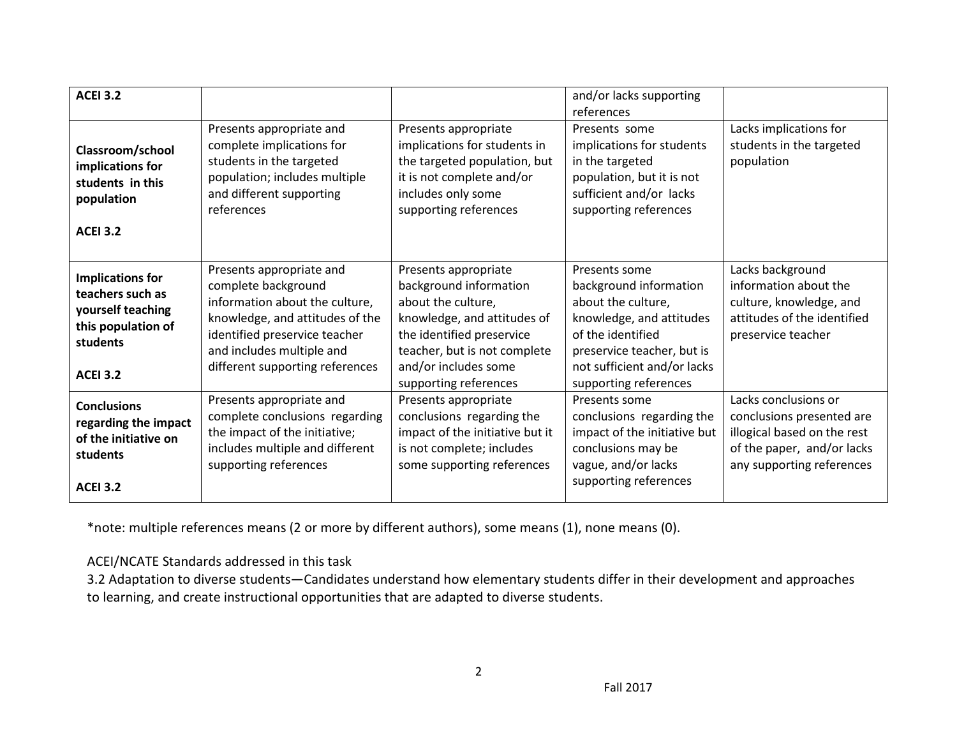| <b>ACEI 3.2</b>                                                                                                       |                                                                                                                                                                                                                       |                                                                                                                                                                                                                   | and/or lacks supporting<br>references                                                                                                                                                                |                                                                                                                                             |
|-----------------------------------------------------------------------------------------------------------------------|-----------------------------------------------------------------------------------------------------------------------------------------------------------------------------------------------------------------------|-------------------------------------------------------------------------------------------------------------------------------------------------------------------------------------------------------------------|------------------------------------------------------------------------------------------------------------------------------------------------------------------------------------------------------|---------------------------------------------------------------------------------------------------------------------------------------------|
| Classroom/school<br>implications for<br>students in this<br>population<br><b>ACEI 3.2</b>                             | Presents appropriate and<br>complete implications for<br>students in the targeted<br>population; includes multiple<br>and different supporting<br>references                                                          | Presents appropriate<br>implications for students in<br>the targeted population, but<br>it is not complete and/or<br>includes only some<br>supporting references                                                  | Presents some<br>implications for students<br>in the targeted<br>population, but it is not<br>sufficient and/or lacks<br>supporting references                                                       | Lacks implications for<br>students in the targeted<br>population                                                                            |
| <b>Implications for</b><br>teachers such as<br>yourself teaching<br>this population of<br>students<br><b>ACEI 3.2</b> | Presents appropriate and<br>complete background<br>information about the culture,<br>knowledge, and attitudes of the<br>identified preservice teacher<br>and includes multiple and<br>different supporting references | Presents appropriate<br>background information<br>about the culture,<br>knowledge, and attitudes of<br>the identified preservice<br>teacher, but is not complete<br>and/or includes some<br>supporting references | Presents some<br>background information<br>about the culture,<br>knowledge, and attitudes<br>of the identified<br>preservice teacher, but is<br>not sufficient and/or lacks<br>supporting references | Lacks background<br>information about the<br>culture, knowledge, and<br>attitudes of the identified<br>preservice teacher                   |
| <b>Conclusions</b><br>regarding the impact<br>of the initiative on<br>students<br><b>ACEI 3.2</b>                     | Presents appropriate and<br>complete conclusions regarding<br>the impact of the initiative;<br>includes multiple and different<br>supporting references                                                               | Presents appropriate<br>conclusions regarding the<br>impact of the initiative but it<br>is not complete; includes<br>some supporting references                                                                   | Presents some<br>conclusions regarding the<br>impact of the initiative but<br>conclusions may be<br>vague, and/or lacks<br>supporting references                                                     | Lacks conclusions or<br>conclusions presented are<br>illogical based on the rest<br>of the paper, and/or lacks<br>any supporting references |

\*note: multiple references means (2 or more by different authors), some means (1), none means (0).

ACEI/NCATE Standards addressed in this task

3.2 Adaptation to diverse students—Candidates understand how elementary students differ in their development and approaches to learning, and create instructional opportunities that are adapted to diverse students.